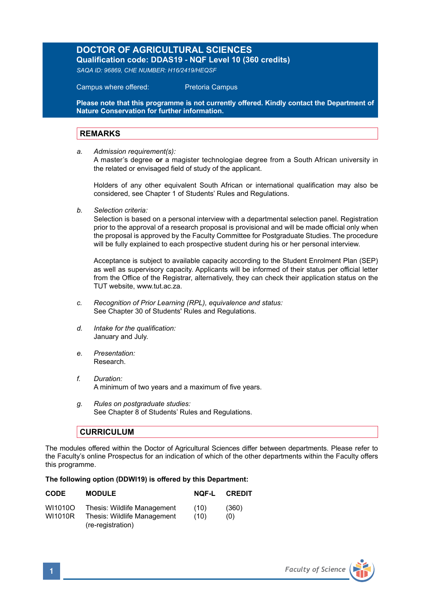## **DOCTOR OF AGRICULTURAL SCIENCES**

**Qualification code: DDAS19 - NQF Level 10 (360 credits)**  *SAQA ID: 96869, CHE NUMBER: H16/2419/HEQSF* 

Campus where offered: Pretoria Campus

**Please note that this programme is not currently offered. Kindly contact the Department of Nature Conservation for further information.**

## **REMARKS**

*a. Admission requirement(s):*

A master's degree **or** a magister technologiae degree from a South African university in the related or envisaged field of study of the applicant.

Holders of any other equivalent South African or international qualification may also be considered, see Chapter 1 of Students' Rules and Regulations.

*b. Selection criteria:*

Selection is based on a personal interview with a departmental selection panel. Registration prior to the approval of a research proposal is provisional and will be made official only when the proposal is approved by the Faculty Committee for Postgraduate Studies. The procedure will be fully explained to each prospective student during his or her personal interview.

Acceptance is subject to available capacity according to the Student Enrolment Plan (SEP) as well as supervisory capacity. Applicants will be informed of their status per official letter from the Office of the Registrar, alternatively, they can check their application status on the TUT website, www.tut.ac.za.

- *c. Recognition of Prior Learning (RPL), equivalence and status:* See Chapter 30 of Students' Rules and Regulations.
- *d. Intake for the qualification:* January and July.
- *e. Presentation:* Research.
- *f. Duration:*  A minimum of two years and a maximum of five years.
- *g. Rules on postgraduate studies:* See Chapter 8 of Students' Rules and Regulations.

## **CURRICULUM**

The modules offered within the Doctor of Agricultural Sciences differ between departments. Please refer to the Faculty's online Prospectus for an indication of which of the other departments within the Faculty offers this programme.

## **The following option (DDWI19) is offered by this Department:**

| <b>CODE</b> | <b>MODULE</b>                                    | NOF-L | <b>CREDIT</b> |
|-------------|--------------------------------------------------|-------|---------------|
| WI1010O     | Thesis: Wildlife Management                      | (10)  | (360)         |
| WI1010R     | Thesis: Wildlife Management<br>(re-registration) | (10)  | (0)           |